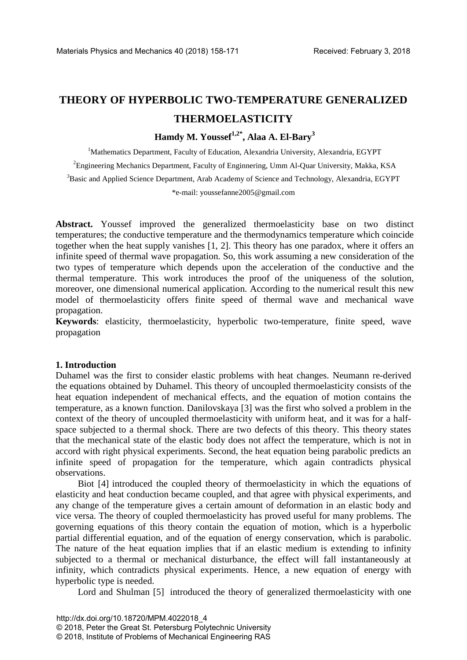# **THEORY OF HYPERBOLIC TWO-TEMPERATURE GENERALIZED THERMOELASTICITY**

# **Hamdy M. Youssef1,2\*, Alaa A. El-Bary3**

<sup>1</sup>Mathematics Department, Faculty of Education, Alexandria University, Alexandria, EGYPT

<sup>2</sup>Engineering Mechanics Department, Faculty of Enginnering, Umm Al-Quar University, Makka, KSA

<sup>3</sup>Basic and Applied Science Department, Arab Academy of Science and Technology, Alexandria, EGYPT

\*e-mail: youssefanne2005@gmail.com

**Abstract.** Youssef improved the generalized thermoelasticity base on two distinct temperatures; the conductive temperature and the thermodynamics temperature which coincide together when the heat supply vanishes [1, 2]. This theory has one paradox, where it offers an infinite speed of thermal wave propagation. So, this work assuming a new consideration of the two types of temperature which depends upon the acceleration of the conductive and the thermal temperature. This work introduces the proof of the uniqueness of the solution, moreover, one dimensional numerical application. According to the numerical result this new model of thermoelasticity offers finite speed of thermal wave and mechanical wave propagation.

**Keywords**: elasticity, thermoelasticity, hyperbolic two-temperature, finite speed, wave propagation

## **1. Introduction**

Duhamel was the first to consider elastic problems with heat changes. Neumann re-derived the equations obtained by Duhamel. This theory of uncoupled thermoelasticity consists of the heat equation independent of mechanical effects, and the equation of motion contains the temperature, as a known function. Danilovskaya [3] was the first who solved a problem in the context of the theory of uncoupled thermoelasticity with uniform heat, and it was for a halfspace subjected to a thermal shock. There are two defects of this theory. This theory states that the mechanical state of the elastic body does not affect the temperature, which is not in accord with right physical experiments. Second, the heat equation being parabolic predicts an infinite speed of propagation for the temperature, which again contradicts physical observations.

Biot [4] introduced the coupled theory of thermoelasticity in which the equations of elasticity and heat conduction became coupled, and that agree with physical experiments, and any change of the temperature gives a certain amount of deformation in an elastic body and vice versa. The theory of coupled thermoelasticity has proved useful for many problems. The governing equations of this theory contain the equation of motion, which is a hyperbolic partial differential equation, and of the equation of energy conservation, which is parabolic. The nature of the heat equation implies that if an elastic medium is extending to infinity subjected to a thermal or mechanical disturbance, the effect will fall instantaneously at infinity, which contradicts physical experiments. Hence, a new equation of energy with hyperbolic type is needed.

Lord and Shulman [5] introduced the theory of generalized thermoelasticity with one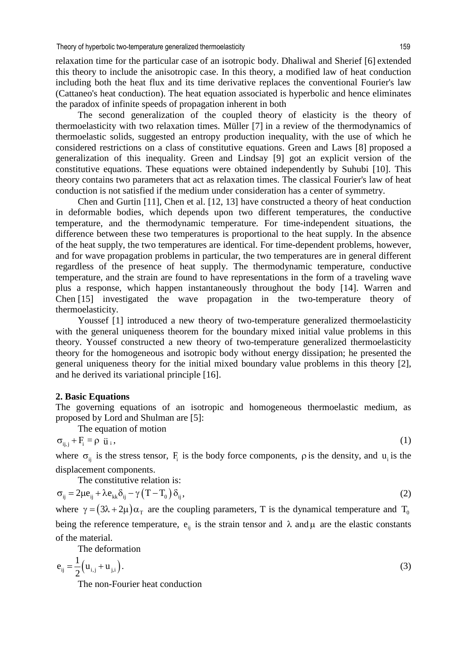relaxation time for the particular case of an isotropic body. Dhaliwal and Sherief [6] extended this theory to include the anisotropic case. In this theory, a modified law of heat conduction including both the heat flux and its time derivative replaces the conventional Fourier's law (Cattaneo's heat conduction). The heat equation associated is hyperbolic and hence eliminates the paradox of infinite speeds of propagation inherent in both

The second generalization of the coupled theory of elasticity is the theory of thermoelasticity with two relaxation times. Müller [7] in a review of the thermodynamics of thermoelastic solids, suggested an entropy production inequality, with the use of which he considered restrictions on a class of constitutive equations. Green and Laws [8] proposed a generalization of this inequality. Green and Lindsay [9] got an explicit version of the constitutive equations. These equations were obtained independently by Suhubi [10]. This theory contains two parameters that act as relaxation times. The classical Fourier's law of heat conduction is not satisfied if the medium under consideration has a center of symmetry.

Chen and Gurtin [11], Chen et al. [12, 13] have constructed a theory of heat conduction in deformable bodies, which depends upon two different temperatures, the conductive temperature, and the thermodynamic temperature. For time-independent situations, the difference between these two temperatures is proportional to the heat supply. In the absence of the heat supply, the two temperatures are identical. For time-dependent problems, however, and for wave propagation problems in particular, the two temperatures are in general different regardless of the presence of heat supply. The thermodynamic temperature, conductive temperature, and the strain are found to have representations in the form of a traveling wave plus a response, which happen instantaneously throughout the body [14]. Warren and Chen [15] investigated the wave propagation in the two-temperature theory of thermoelasticity.

Youssef [1] introduced a new theory of two-temperature generalized thermoelasticity with the general uniqueness theorem for the boundary mixed initial value problems in this theory. Youssef constructed a new theory of two-temperature generalized thermoelasticity theory for the homogeneous and isotropic body without energy dissipation; he presented the general uniqueness theory for the initial mixed boundary value problems in this theory [2], and he derived its variational principle [16].

#### **2. Basic Equations**

The governing equations of an isotropic and homogeneous thermoelastic medium, as proposed by Lord and Shulman are [5]:

The equation of motion

$$
\sigma_{ij,j} + F_i = \rho \ddot{u}_i, \qquad (1)
$$

where  $\sigma_{ij}$  is the stress tensor, F<sub>i</sub> is the body force components,  $\rho$  is the density, and  $u_i$  is the displacement components.

The constitutive relation is:

$$
\sigma_{ij} = 2\mu e_{ij} + \lambda e_{kk}\delta_{ij} - \gamma (T - T_0) \delta_{ij}, \qquad (2)
$$

where  $\gamma = (3\lambda + 2\mu)\alpha_{\text{T}}$  are the coupling parameters, T is the dynamical temperature and T<sub>0</sub> being the reference temperature,  $e_{ij}$  is the strain tensor and  $\lambda$  and  $\mu$  are the elastic constants of the material.

The deformation

$$
e_{ij} = \frac{1}{2} (u_{i,j} + u_{j,i}).
$$
\n(3)

The non-Fourier heat conduction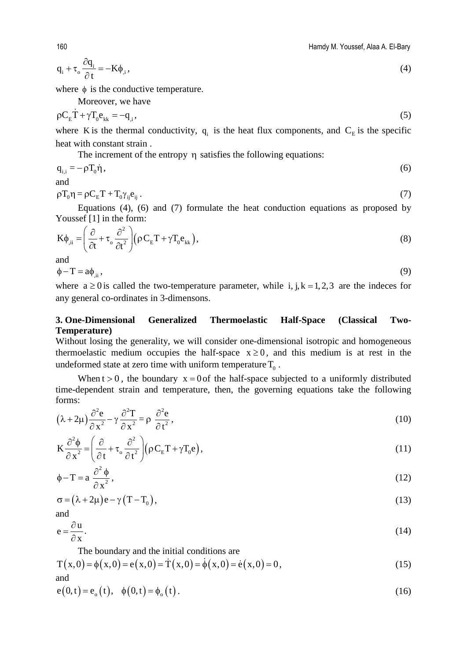$$
q_i + \tau_o \frac{\partial q_i}{\partial t} = -K\phi_{i}, \qquad (4)
$$

where  $\phi$  is the conductive temperature.

Moreover, we have

$$
\rho C_{\rm E} \dot{T} + \gamma T_0 e_{\rm kk} = -q_{\rm i},\tag{5}
$$

where K is the thermal conductivity,  $q_i$  is the heat flux components, and  $C_E$  is the specific heat with constant strain .

The increment of the entropy η satisfies the following equations:

$$
q_{i,i} = -\rho T_0 \dot{\eta} \,,\tag{6}
$$

and

$$
\rho T_0 \eta = \rho C_E T + T_0 \gamma_{ij} e_{ij} \,. \tag{7}
$$

Equations (4), (6) and (7) formulate the heat conduction equations as proposed by Youssef [1] in the form:  $22 \lambda$ 

$$
K\phi_{\mu i} = \left(\frac{\partial}{\partial t} + \tau_o \frac{\partial^2}{\partial t^2}\right) (\rho C_E T + \gamma T_o e_{kk}),
$$
\n(8)

and

 $\phi - T = a\phi_{,ii}$ , (9)

where  $a \ge 0$  is called the two-temperature parameter, while i, j, k = 1, 2, 3 are the indeces for any general co-ordinates in 3-dimensons.

# **3. One-Dimensional Generalized Thermoelastic Half-Space (Classical Two-Temperature)**

Without losing the generality, we will consider one-dimensional isotropic and homogeneous thermoelastic medium occupies the half-space  $x \ge 0$ , and this medium is at rest in the undeformed state at zero time with uniform temperature  $T_0$ .

When  $t > 0$ , the boundary  $x = 0$  of the half-space subjected to a uniformly distributed time-dependent strain and temperature, then, the governing equations take the following forms:

$$
(\lambda + 2\mu)\frac{\partial^2 e}{\partial x^2} - \gamma \frac{\partial^2 T}{\partial x^2} = \rho \frac{\partial^2 e}{\partial t^2},
$$
\n(10)

$$
K\frac{\partial^2 \phi}{\partial x^2} = \left(\frac{\partial}{\partial t} + \tau_o \frac{\partial^2}{\partial t^2}\right) (\rho C_E T + \gamma T_0 e),\tag{11}
$$

$$
\phi - T = a \frac{\partial^2 \phi}{\partial x^2},\tag{12}
$$

$$
\sigma = (\lambda + 2\mu)e - \gamma (T - T_0), \qquad (13)
$$

and

$$
e = \frac{\partial u}{\partial x}.
$$
 (14)

The boundary and the initial conditions are

$$
T(x,0) = \phi(x,0) = e(x,0) = \dot{T}(x,0) = \dot{\phi}(x,0) = \dot{e}(x,0) = 0,
$$
\n(15)

and

$$
e(0,t) = e_0(t), \quad \phi(0,t) = \phi_0(t).
$$
 (16)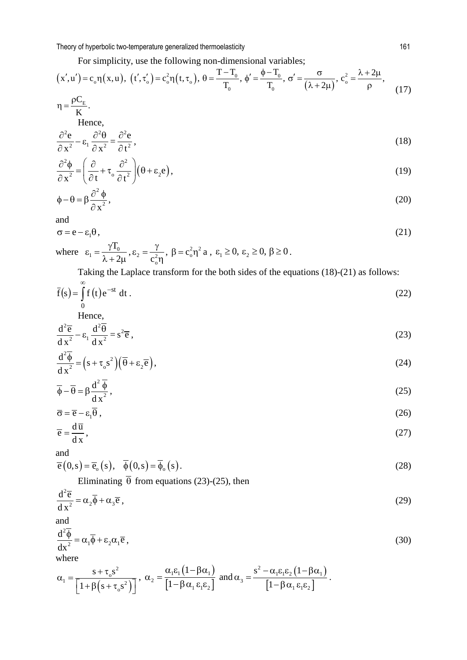For simplicity, use the following non-dimensional variables;

$$
(x', u') = c_o \eta(x, u), (t', \tau_o') = c_o^2 \eta(t, \tau_o), \theta = \frac{T - T_o}{T_o}, \phi' = \frac{\phi - T_o}{T_o}, \sigma' = \frac{\sigma}{(\lambda + 2\mu)}, c_o^2 = \frac{\lambda + 2\mu}{\rho},
$$
\n(17)

$$
\eta = \frac{\rho C_{\rm E}}{K}.
$$
  
Hence,  

$$
\partial^2 e \qquad \partial^2 \theta \qquad \partial^2 e \qquad (18)
$$

$$
\frac{\partial e}{\partial x^2} - \varepsilon_1 \frac{\partial \theta}{\partial x^2} = \frac{\partial e}{\partial t^2},
$$
\n(18)

$$
\frac{\partial^2 \phi}{\partial x^2} = \left(\frac{\partial}{\partial t} + \tau_o \frac{\partial^2}{\partial t^2}\right) \left(\theta + \epsilon_2 e\right),\tag{19}
$$

$$
\phi - \theta = \beta \frac{\partial^2 \phi}{\partial x^2},\tag{20}
$$

and

$$
\sigma = e - \varepsilon_1 \theta, \tag{21}
$$

where  $\varepsilon_1 = \frac{l^2 0}{2 l^2}$ T  $\varepsilon_1 = \frac{\gamma T_0}{\lambda + 2\mu}, \varepsilon_2 = \frac{\gamma}{c_0^2 \eta}, \ \beta = c_0^2 \eta^2 \ a \ , \ \varepsilon_1 \ge 0, \ \varepsilon_2 \ge 0, \ \beta \ge 0 \,.$ 

Taking the Laplace transform for the both sides of the equations (18)-(21) as follows:

$$
\bar{f}(s) = \int_{0}^{\infty} f(t) e^{-st} dt.
$$
 (22)

Hence, 2 2

$$
\frac{d^2\overline{e}}{dx^2} - \varepsilon_1 \frac{d^2\overline{\theta}}{dx^2} = s^2 \overline{e} , \qquad (23)
$$

$$
\frac{d^2\overline{\phi}}{dx^2} = (s + \tau_0 s^2)(\overline{\theta} + \epsilon_2 \overline{e}),
$$
\n(24)

$$
\overline{\phi} - \overline{\theta} = \beta \frac{d^2 \overline{\phi}}{dx^2},\tag{25}
$$

$$
\overline{\sigma} = \overline{e} - \varepsilon_1 \overline{\theta} \,, \tag{26}
$$

$$
\overline{e} = \frac{d\,\overline{u}}{dx},\tag{27}
$$

and  
\n
$$
\overline{e}(0,s) = \overline{e}_0(s), \quad \overline{\phi}(0,s) = \overline{\phi}_0(s).
$$
\n(28)

Eliminating  $\overline{\theta}$  from equations (23)-(25), then

$$
\frac{\mathrm{d}^2\overline{\mathbf{e}}}{\mathrm{d}x^2} = \alpha_2 \overline{\phi} + \alpha_3 \overline{\mathbf{e}},\tag{29}
$$

and

$$
\frac{\mathrm{d}^2 \overline{\phi}}{\mathrm{d} x^2} = \alpha_1 \overline{\phi} + \varepsilon_2 \alpha_1 \overline{e} ,\qquad(30)
$$
\nwhere

$$
\alpha_1 = \frac{s + \tau_0 s^2}{\left[1 + \beta\left(s + \tau_0 s^2\right)\right]}, \ \alpha_2 = \frac{\alpha_1 \epsilon_1 \left(1 - \beta \alpha_1\right)}{\left[1 - \beta \alpha_1 \epsilon_1 \epsilon_2\right]} \text{ and } \alpha_3 = \frac{s^2 - \alpha_1 \epsilon_1 \epsilon_2 \left(1 - \beta \alpha_1\right)}{\left[1 - \beta \alpha_1 \epsilon_1 \epsilon_2\right]}.
$$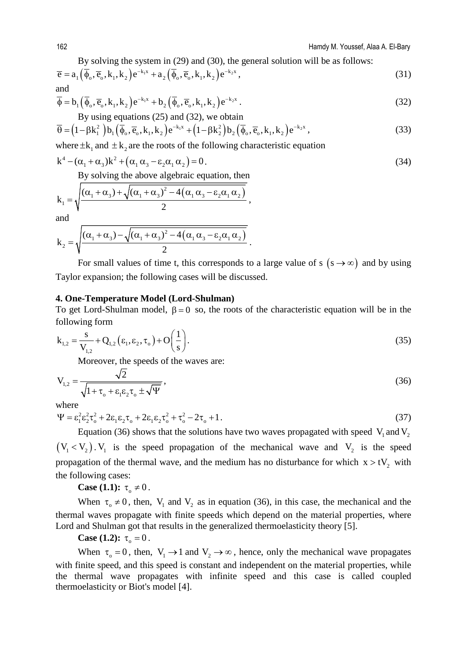By solving the system in (29) and (30), the general solution will be as follows:

$$
\overline{e} = a_1(\overline{\phi}_o, \overline{e}_o, k_1, k_2) e^{-k_1 x} + a_2(\overline{\phi}_o, \overline{e}_o, k_1, k_2) e^{-k_2 x}, \qquad (31)
$$

and

$$
\overline{\phi} = b_1(\overline{\phi}_0, \overline{e}_0, k_1, k_2) e^{-k_1 x} + b_2(\overline{\phi}_0, \overline{e}_0, k_1, k_2) e^{-k_2 x}.
$$
\n(32)  
By using equations (25) and (32), we obtain

$$
\overline{\theta} = (1 - \beta k_1^2) b_1 (\overline{\phi}_0, \overline{e}_0, k_1, k_2) e^{-k_1 x} + (1 - \beta k_2^2) b_2 (\overline{\phi}_0, \overline{e}_0, k_1, k_2) e^{-k_2 x},
$$
\n(33)

where  $\pm k_1$  and  $\pm k_2$  are the roots of the following characteristic equation

$$
k^4 - (\alpha_1 + \alpha_3)k^2 + (\alpha_1 \alpha_3 - \varepsilon_2 \alpha_1 \alpha_2) = 0.
$$
 (34)

By solving the above algebraic equation, then

$$
k_1 = \sqrt{\frac{(\alpha_1 + \alpha_3) + \sqrt{(\alpha_1 + \alpha_3)^2 - 4(\alpha_1 \alpha_3 - \epsilon_2 \alpha_1 \alpha_2)}}{2}},
$$

and

$$
k_2 = \sqrt{\frac{(\alpha_1 + \alpha_3) - \sqrt{(\alpha_1 + \alpha_3)^2 - 4(\alpha_1 \alpha_3 - \epsilon_2 \alpha_1 \alpha_2)}}{2}}.
$$

For small values of time t, this corresponds to a large value of s  $(s \rightarrow \infty)$  and by using Taylor expansion; the following cases will be discussed.

## **4. One-Temperature Model (Lord-Shulman)**

To get Lord-Shulman model,  $β = 0$  so, the roots of the characteristic equation will be in the following form

$$
k_{1,2} = \frac{s}{V_{1,2}} + Q_{1,2} (\varepsilon_1, \varepsilon_2, \tau_0) + O\left(\frac{1}{s}\right).
$$
 (35)

Moreover, the speeds of the waves are:

$$
V_{1,2} = \frac{\sqrt{2}}{\sqrt{1 + \tau_o + \varepsilon_1 \varepsilon_2 \tau_o \pm \sqrt{\Psi}}},
$$
\n(36)

where

$$
\Psi = \varepsilon_1^2 \varepsilon_2^2 \tau_o^2 + 2\varepsilon_1 \varepsilon_2 \tau_o + 2\varepsilon_1 \varepsilon_2 \tau_o^2 + \tau_o^2 - 2\tau_o + 1. \tag{37}
$$

Equation (36) shows that the solutions have two waves propagated with speed  $V_1$  and  $V_2$  $(V_1 < V_2)$ . V<sub>1</sub> is the speed propagation of the mechanical wave and V<sub>2</sub> is the speed propagation of the thermal wave, and the medium has no disturbance for which  $x > tV<sub>2</sub>$  with the following cases:

**Case (1.1):**  $\tau_0 \neq 0$ .

When  $\tau_0 \neq 0$ , then,  $V_1$  and  $V_2$  as in equation (36), in this case, the mechanical and the thermal waves propagate with finite speeds which depend on the material properties, where Lord and Shulman got that results in the generalized thermoelasticity theory [5].

## **Case (1.2):**  $\tau_{0} = 0$ .

When  $\tau_0 = 0$ , then,  $V_1 \rightarrow 1$  and  $V_2 \rightarrow \infty$ , hence, only the mechanical wave propagates with finite speed, and this speed is constant and independent on the material properties, while the thermal wave propagates with infinite speed and this case is called coupled thermoelasticity or Biot's model [4].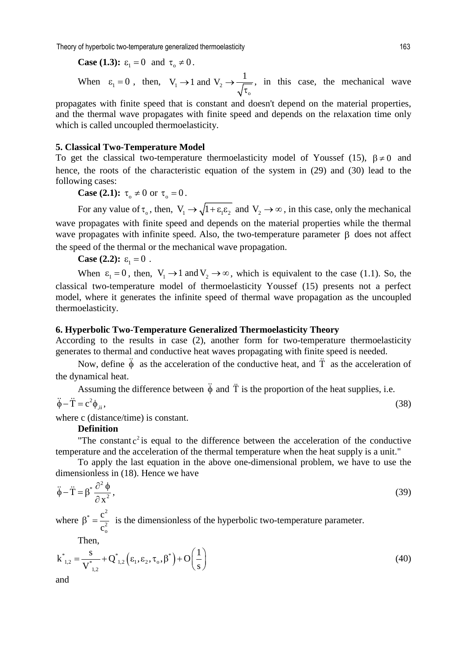Theory of hyperbolic two-temperature generalized thermoelasticity and the metal of the state of the 163

Case (1.3): 
$$
\varepsilon_1 = 0
$$
 and  $\tau_0 \neq 0$ .  
When  $\varepsilon_1 = 0$ , then,  $V_1 \rightarrow 1$  and  $V_2 \rightarrow \frac{1}{\sqrt{\tau_0}}$ , in this case, the mechanical wave

propagates with finite speed that is constant and doesn't depend on the material properties, and the thermal wave propagates with finite speed and depends on the relaxation time only which is called uncoupled thermoelasticity.

#### **5. Classical Two-Temperature Model**

To get the classical two-temperature thermoelasticity model of Youssef (15),  $\beta \neq 0$  and hence, the roots of the characteristic equation of the system in (29) and (30) lead to the following cases:

**Case (2.1):**  $\tau_0 \neq 0$  or  $\tau_0 = 0$ .

For any value of  $\tau_o$ , then,  $V_1 \rightarrow \sqrt{1 + \epsilon_1 \epsilon_2}$  and  $V_2 \rightarrow \infty$ , in this case, only the mechanical wave propagates with finite speed and depends on the material properties while the thermal wave propagates with infinite speed. Also, the two-temperature parameter  $\beta$  does not affect the speed of the thermal or the mechanical wave propagation.

**Case (2.2):**  $\varepsilon_1 = 0$ .

When  $\varepsilon_1 = 0$ , then,  $V_1 \rightarrow 1$  and  $V_2 \rightarrow \infty$ , which is equivalent to the case (1.1). So, the classical two-temperature model of thermoelasticity Youssef (15) presents not a perfect model, where it generates the infinite speed of thermal wave propagation as the uncoupled thermoelasticity.

## **6. Hyperbolic Two-Temperature Generalized Thermoelasticity Theory**

According to the results in case (2), another form for two-temperature thermoelasticity generates to thermal and conductive heat waves propagating with finite speed is needed.

Now, define  $\ddot{\phi}$  as the acceleration of the conductive heat, and  $\ddot{T}$  as the acceleration of the dynamical heat.

Assuming the difference between  $\ddot{\phi}$  and  $\ddot{T}$  is the proportion of the heat supplies, i.e.

$$
\ddot{\phi} - \ddot{T} = c^2 \phi_{\text{ii}}, \tag{38}
$$

where c (distance/time) is constant.

## **Definition**

"The constant  $c^2$  is equal to the difference between the acceleration of the conductive temperature and the acceleration of the thermal temperature when the heat supply is a unit."

To apply the last equation in the above one-dimensional problem, we have to use the dimensionless in (18). Hence we have

$$
\ddot{\phi} - \ddot{T} = \beta^* \frac{\partial^2 \phi}{\partial x^2},\tag{39}
$$

where  $\cdot$   $\cdot$   $\cdot$   $\cdot$   $\cdot$ 2 o c c  $\beta^* = \frac{c}{\gamma}$  is the dimensionless of the hyperbolic two-temperature parameter.

Then,

$$
k_{1,2}^{*} = \frac{s}{V_{1,2}^{*}} + Q_{1,2}^{*} (\varepsilon_{1}, \varepsilon_{2}, \tau_{0}, \beta^{*}) + O\left(\frac{1}{s}\right)
$$
(40)

and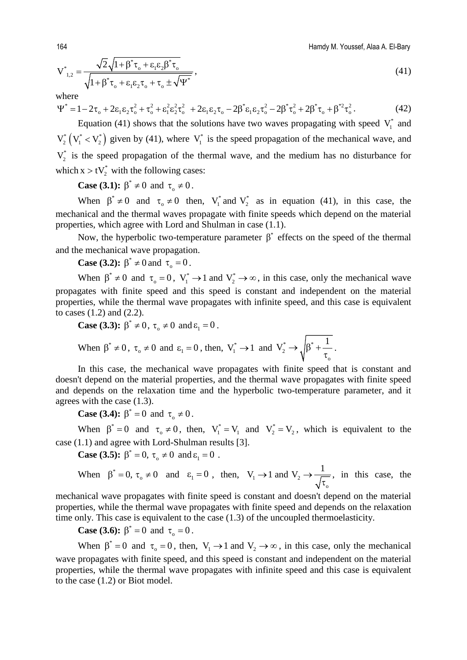164 Hamdy M. Youssef, Alaa A. El-Bary

$$
V_{1,2}^{*} = \frac{\sqrt{2}\sqrt{1+\beta^{*}\tau_{o} + \varepsilon_{1}\varepsilon_{2}\beta^{*}\tau_{o}}}{\sqrt{1+\beta^{*}\tau_{o} + \varepsilon_{1}\varepsilon_{2}\tau_{o} + \tau_{o}\pm\sqrt{\Psi^{*}}}},
$$
\n(41)

where<br> $\Psi^* = 1 - 2\tau + 2g g g^2 + \tau^2 + g^2 g^2 + 2g g g g^2 + 2g^2 g g^2 + 2g^2 g^2 + 2g^2 g^2 + 2g^2 g^2$  $\Psi^* = 1 - 2\tau_0 + 2\epsilon_1 \epsilon_2 \tau_0^2 + \tau_0^2 + \epsilon_1^2 \epsilon_2^2 \tau_0^2 + 2\epsilon_1 \epsilon_2 \tau_0 - 2\beta^* \epsilon_1 \epsilon_2 \tau_0^2 - 2\beta^* \tau_0^2 + 2\beta^* \tau_0 + \beta^{*2} \tau_0^2$ . (42)

Equation (41) shows that the solutions have two waves propagating with speed  $V_1^*$  and  $V_2^*$   $(V_1^* < V_2^*)$  given by (41), where  $V_1^*$  is the speed propagation of the mechanical wave, and  $V_2^*$  is the speed propagation of the thermal wave, and the medium has no disturbance for which  $x > tV_2^*$  with the following cases:

**Case (3.1):**  $\beta^* \neq 0$  and  $\tau_0 \neq 0$ .

When  $\beta^* \neq 0$  and  $\tau_0 \neq 0$  then,  $V_1^*$  and  $V_2^*$  as in equation (41), in this case, the mechanical and the thermal waves propagate with finite speeds which depend on the material properties, which agree with Lord and Shulman in case (1.1).

Now, the hyperbolic two-temperature parameter  $\beta^*$  effects on the speed of the thermal and the mechanical wave propagation.

**Case (3.2):**  $\beta^* \neq 0$  and  $\tau_0 = 0$ .

When  $\beta^* \neq 0$  and  $\tau_0 = 0$ ,  $V_1^* \rightarrow 1$  and  $V_2^* \rightarrow \infty$ , in this case, only the mechanical wave propagates with finite speed and this speed is constant and independent on the material properties, while the thermal wave propagates with infinite speed, and this case is equivalent to cases (1.2) and (2.2).

Case (3.3): 
$$
\beta^* \neq 0
$$
,  $\tau_0 \neq 0$  and  $\epsilon_1 = 0$ .  
When  $\beta^* \neq 0$ ,  $\tau_0 \neq 0$  and  $\epsilon_1 = 0$ , then,  $V_1^* \rightarrow 1$  and  $V_2^* \rightarrow \sqrt{\beta^* + \frac{1}{\tau_0}}$ .

In this case, the mechanical wave propagates with finite speed that is constant and doesn't depend on the material properties, and the thermal wave propagates with finite speed and depends on the relaxation time and the hyperbolic two-temperature parameter, and it agrees with the case (1.3).

**Case (3.4):**  $\beta^* = 0$  and  $\tau_0 \neq 0$ .

When  $\beta^* = 0$  and  $\tau_0 \neq 0$ , then,  $V_1^* = V_1$  and  $V_2^* = V_2$ , which is equivalent to the case (1.1) and agree with Lord-Shulman results [3].

**Case (3.5):**  $\beta^* = 0$ ,  $\tau_0 \neq 0$  and  $\epsilon_1 = 0$ .

When 
$$
\beta^* = 0
$$
,  $\tau_0 \neq 0$  and  $\epsilon_1 = 0$ , then,  $V_1 \rightarrow 1$  and  $V_2 \rightarrow \frac{1}{\sqrt{\tau_0}}$ , in this case, the

mechanical wave propagates with finite speed is constant and doesn't depend on the material properties, while the thermal wave propagates with finite speed and depends on the relaxation time only. This case is equivalent to the case (1.3) of the uncoupled thermoelasticity.

**Case (3.6):**  $\beta^* = 0$  and  $\tau_0 = 0$ .

When  $\beta^* = 0$  and  $\tau_0 = 0$ , then,  $V_1 \rightarrow 1$  and  $V_2 \rightarrow \infty$ , in this case, only the mechanical wave propagates with finite speed, and this speed is constant and independent on the material properties, while the thermal wave propagates with infinite speed and this case is equivalent to the case (1.2) or Biot model.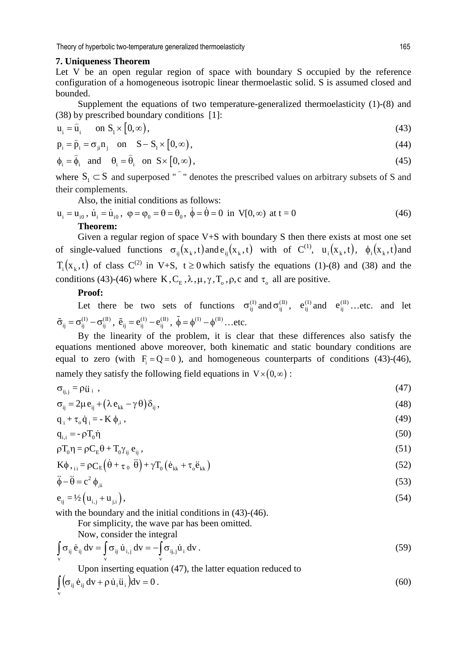#### **7. Uniqueness Theorem**

Let V be an open regular region of space with boundary S occupied by the reference configuration of a homogeneous isotropic linear thermoelastic solid. S is assumed closed and bounded.

Supplement the equations of two temperature-generalized thermoelasticity (1)-(8) and (38) by prescribed boundary conditions [1]:

$$
\mathbf{u}_{i} = \hat{\mathbf{u}}_{i} \quad \text{on } \mathbf{S}_{1} \times [0, \infty), \tag{43}
$$

$$
p_i = \hat{p}_i = \sigma_{ji} n_j \quad \text{on} \quad S - S_i \times [0, \infty), \tag{44}
$$

$$
\phi_i = \hat{\phi}_i \quad \text{and} \quad \theta_i = \hat{\theta}_i \quad \text{on} \quad S \times [0, \infty), \tag{45}
$$

where  $S_1 \subset S$  and superposed "  $\overline{a}$ " denotes the prescribed values on arbitrary subsets of S and their complements.

Also, the initial conditions as follows:

$$
\mathbf{u}_{i} = \mathbf{u}_{i0}, \ \dot{\mathbf{u}}_{i} = \dot{\mathbf{u}}_{i0}, \ \ \varphi = \varphi_{0} = \theta = \theta_{0}, \ \dot{\phi} = \dot{\theta} = 0 \ \text{ in } \ \mathbf{V}[0, \infty) \ \text{ at } t = 0
$$
\n**Theorem:**

\n
$$
(46)
$$

Given a regular region of space V+S with boundary S then there exists at most one set of single-valued functions  $\sigma_{ii}(x_k,t)$  and  $e_{ii}(x_k,t)$  with of  $C^{(1)}$ ,  $u_i(x_k,t)$ ,  $\phi_i(x_k,t)$  and  $T_i(x_k,t)$  of class  $C^{(2)}$  in V+S,  $t \ge 0$  which satisfy the equations (1)-(8) and (38) and the conditions (43)-(46) where K,  $C_E$ ,  $\lambda$ ,  $\mu$ ,  $\gamma$ ,  $T_o$ ,  $\rho$ ,  $c$  and  $\tau_o$  all are positive.

#### **Proof:**

Let there be two sets of functions  $\sigma_{ij}^{(I)}$  and  $\sigma_{ij}^{(II)}$ ,  $e_{ij}^{(I)}$  and  $e_{ij}^{(II)}$ ...etc. and let  $\tilde{\sigma}_{ij} = \sigma_{ij}^{(I)} - \sigma_{ij}^{(II)}$ ,  $\tilde{e}_{ij} = e_{ij}^{(I)} - e_{ij}^{(II)}$ ,  $\tilde{\phi} = \phi^{(I)} - \phi^{(II)}$ ...etc.

By the linearity of the problem, it is clear that these differences also satisfy the equations mentioned above moreover, both kinematic and static boundary conditions are equal to zero (with  $F = Q = 0$ ), and homogeneous counterparts of conditions (43)-(46), namely they satisfy the following field equations in  $V \times (0, \infty)$ :

$$
\sigma_{ij,j} = \rho \ddot{u}_i , \qquad (47)
$$

$$
\sigma_{ij} = 2\mu \, \mathbf{e}_{ij} + (\lambda \, \mathbf{e}_{kk} - \gamma \, \theta) \delta_{ij},\tag{48}
$$

$$
q_i + \tau_o \dot{q}_i = -K \phi_{i}, \qquad (49)
$$

$$
q_{i,i} = -\rho T_0 \dot{\eta} \tag{50}
$$

$$
\rho T_0 \eta = \rho C_E \theta + T_0 \gamma_{ij} e_{ij}, \qquad (51)
$$

$$
\mathbf{K}\phi_{\text{t}}_{\text{ii}} = \rho \mathbf{C}_{E} \left( \dot{\theta} + \tau_{0} \ddot{\theta} \right) + \gamma \mathbf{T}_{0} \left( \dot{\mathbf{e}}_{\text{k}k} + \tau_{0} \ddot{\mathbf{e}}_{\text{k}k} \right)
$$
(52)  

$$
\ddot{\phi} - \ddot{\theta} = \sigma^{2} \dot{\phi}
$$
(53)

$$
\ddot{\phi} - \ddot{\theta} = c^2 \phi_{\text{ii}} \tag{53}
$$

$$
e_{ij} = \frac{1}{2} \left( u_{i,j} + u_{j,i} \right), \tag{54}
$$

with the boundary and the initial conditions in  $(43)-(46)$ .

For simplicity, the wave par has been omitted.

Now, consider the integral

$$
\int_{\mathbf{v}} \sigma_{ij} \dot{\mathbf{e}}_{ij} \, \mathbf{d}\mathbf{v} = \int_{\mathbf{v}} \sigma_{ij} \, \dot{\mathbf{u}}_{i,j} \, \mathbf{d}\mathbf{v} = -\int_{\mathbf{v}} \sigma_{ij,j} \dot{\mathbf{u}}_i \, \mathbf{d}\mathbf{v} \, . \tag{59}
$$

Upon inserting equation (47), the latter equation reduced to  $\int (\sigma_{ij} \dot{e}_{ij} dv + \rho \dot{u}_i \ddot{u}_i) dv = 0.$  (60) v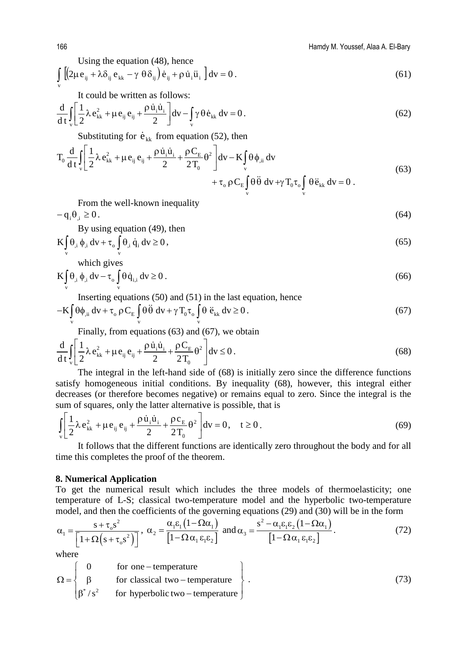166 Hamdy M. Youssef, Alaa A. El-Bary

Using the equation (48), hence

$$
\int_{\mathbf{v}} \left[ \left( 2\mu \mathbf{e}_{ij} + \lambda \delta_{ij} \mathbf{e}_{kk} - \gamma \theta \delta_{ij} \right) \dot{\mathbf{e}}_{ij} + \rho \dot{\mathbf{u}}_i \ddot{\mathbf{u}}_i \right] d\mathbf{v} = 0.
$$
\n(61)

It could be written as follows:

$$
\frac{d}{dt} \int_{v} \left[ \frac{1}{2} \lambda e_{kk}^{2} + \mu e_{ij} e_{ij} + \frac{\rho \dot{u}_{i} \dot{u}_{i}}{2} \right] dv - \int_{v} \gamma \theta \dot{e}_{kk} dv = 0.
$$
 (62)

Substituting for  $\dot{e}_{kk}$  from equation (52), then

$$
T_0 \frac{d}{dt} \int_{v} \left[ \frac{1}{2} \lambda e_{kk}^2 + \mu e_{ij} e_{ij} + \frac{\rho \dot{u}_i \dot{u}_i}{2} + \frac{\rho C_E}{2T_0} \theta^2 \right] dv - K \int_{v} \theta \phi_{,ii} dv + \tau_0 \rho C_E \int_{v} \theta \ddot{\theta} dv + \gamma T_0 \tau_0 \int_{v} \theta \ddot{e}_{kk} dv = 0.
$$
 (63)

From the well-known inequality

 $-q_i \theta_i \geq 0.$  (64)

By using equation (49), then

$$
K \int_{v} \theta_{i} \phi_{i} dv + \tau_{o} \int_{v} \theta_{i} \dot{q}_{i} dv \ge 0,
$$
\n(65)

which gives

$$
K \int_{V} \theta_{i} \phi_{i} dv - \tau_{o} \int_{V} \theta \dot{q}_{i,i} dv \ge 0.
$$
 (66)

Inserting equations (50) and (51) in the last equation, hence

$$
-K \int_{v} \theta \phi_{,ii} dv + \tau_o \rho C_E \int_{v} \theta \ddot{\theta} dv + \gamma T_0 \tau_o \int_{v} \theta \ddot{e}_{kk} dv \ge 0.
$$
 (67)

Finally, from equations (63) and (67), we obtain

$$
\frac{d}{dt} \int_{v} \left[ \frac{1}{2} \lambda e_{kk}^2 + \mu e_{ij} e_{ij} + \frac{\rho \dot{u}_i \dot{u}_i}{2} + \frac{\rho C_E}{2T_0} \theta^2 \right] dv \le 0.
$$
\n(68)

The integral in the left-hand side of (68) is initially zero since the difference functions satisfy homogeneous initial conditions. By inequality (68), however, this integral either decreases (or therefore becomes negative) or remains equal to zero. Since the integral is the sum of squares, only the latter alternative is possible, that is

$$
\int_{v} \left[ \frac{1}{2} \lambda e_{kk}^{2} + \mu e_{ij} e_{ij} + \frac{\rho \dot{u}_{i} \dot{u}_{i}}{2} + \frac{\rho c_{E}}{2T_{0}} \theta^{2} \right] dv = 0, \quad t \ge 0.
$$
 (69)

It follows that the different functions are identically zero throughout the body and for all time this completes the proof of the theorem.

# **8. Numerical Application**

To get the numerical result which includes the three models of thermoelasticity; one temperature of L-S; classical two-temperature model and the hyperbolic two-temperature model, and then the coefficients of the governing equations (29) and (30) will be in the form

$$
\alpha_1 = \frac{s + \tau_0 s^2}{\left[1 + \Omega\left(s + \tau_0 s^2\right)\right]}, \ \alpha_2 = \frac{\alpha_1 \varepsilon_1 \left(1 - \Omega \alpha_1\right)}{\left[1 - \Omega \alpha_1 \varepsilon_1 \varepsilon_2\right]} \text{ and } \alpha_3 = \frac{s^2 - \alpha_1 \varepsilon_1 \varepsilon_2 \left(1 - \Omega \alpha_1\right)}{\left[1 - \Omega \alpha_1 \varepsilon_1 \varepsilon_2\right]}.
$$
\n(72)

where

$$
\Omega = \begin{cases}\n0 & \text{for one–temperature} \\
\beta & \text{for classical two–temperature} \\
\beta^* / s^2 & \text{for hyperbolic two–temperature}\n\end{cases}
$$
\n(73)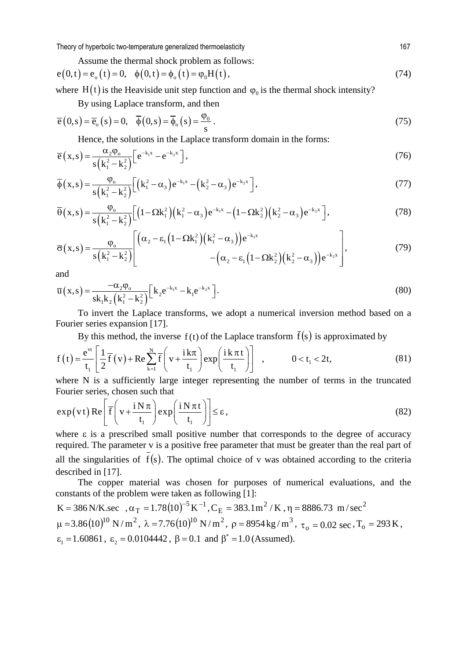Assume the thermal shock problem as follows:

$$
e(0,t) = e_0(t) = 0, \quad \phi(0,t) = \phi_0(t) = \phi_0 H(t), \tag{74}
$$

where H(t) is the Heaviside unit step function and  $\varphi_0$  is the thermal shock intensity?

By using Laplace transform, and then

$$
\overline{e}(0,s) = \overline{e}_o(s) = 0, \quad \overline{\phi}(0,s) = \overline{\phi}_o(s) = \frac{\phi_0}{s}.
$$
\n(75)

Hence, the solutions in the Laplace transform domain in the forms:

$$
\overline{e}(x,s) = \frac{\alpha_2 \varphi_o}{s\left(k_1^2 - k_2^2\right)} \left[e^{-k_1 x} - e^{-k_2 x}\right],\tag{76}
$$

$$
\overline{\phi}(x,s) = \frac{\varphi_o}{s(k_1^2 - k_2^2)} \Big[ \Big( k_1^2 - \alpha_3 \Big) e^{-k_1 x} - \Big( k_2^2 - \alpha_3 \Big) e^{-k_2 x} \Big],
$$
\n(77)

$$
\overline{\theta}(x,s) = \frac{\varphi_o}{s(k_1^2 - k_2^2)} \Big[ \Big( 1 - \Omega k_1^2 \Big) \Big( k_1^2 - \alpha_3 \Big) e^{-k_1 x} - \Big( 1 - \Omega k_2^2 \Big) \Big( k_2^2 - \alpha_3 \Big) e^{-k_2 x} \Big],
$$
\n(78)

$$
\overline{\sigma}(x,s) = \frac{\varphi_o}{s(k_1^2 - k_2^2)} \left[ \frac{(\alpha_2 - \varepsilon_1 (1 - \Omega k_1^2) (k_1^2 - \alpha_3)) e^{-k_1 x}}{(\alpha_2 - \varepsilon_1 (1 - \Omega k_2^2) (k_2^2 - \alpha_3)) e^{-k_2 x}} \right],
$$
(79)

and

$$
\overline{u}(x,s) = \frac{-\alpha_2 \varphi_o}{sk_1 k_2 (k_1^2 - k_2^2)} [k_2 e^{-k_1 x} - k_1 e^{-k_2 x}] \,. \tag{80}
$$

To invert the Laplace transforms, we adopt a numerical inversion method based on a Fourier series expansion [17].

By this method, the inverse  $f(t)$  of the Laplace transform  $\bar{f}(s)$  is approximated by

$$
f(t) = \frac{e^{vt}}{t_1} \left[ \frac{1}{2} \overline{f}(v) + \text{Re} \sum_{k=1}^{N} \overline{f}\left(v + \frac{ik\pi}{t_1}\right) \exp\left(\frac{ik\pi t}{t_1}\right) \right] , \qquad 0 < t_1 < 2t,
$$
 (81)

where N is a sufficiently large integer representing the number of terms in the truncated Fourier series, chosen such that

$$
\exp(v t) \operatorname{Re}\left[\overline{f}\left(v + \frac{i N \pi}{t_1}\right) \exp\left(\frac{i N \pi t}{t_1}\right)\right] \le \varepsilon,\tag{82}
$$

where  $\varepsilon$  is a prescribed small positive number that corresponds to the degree of accuracy required. The parameter v is a positive free parameter that must be greater than the real part of all the singularities of  $\overline{f}(s)$ . The optimal choice of v was obtained according to the criteria described in [17].

The copper material was chosen for purposes of numerical evaluations, and the constants of the problem were taken as following [1]:

K = 386 N/K.sec , ( ) <sup>5</sup> <sup>1</sup> <sup>T</sup> .1 <sup>1078</sup> <sup>K</sup> <sup>−</sup> <sup>−</sup> =α ,C <sup>383</sup> K/m1. <sup>2</sup> <sup>E</sup> <sup>=</sup> , <sup>2</sup> =η 8886.73 /m sec ( )<sup>10</sup> <sup>2</sup> <sup>m</sup> <sup>=</sup> .3 <sup>1086</sup> m/N , ( )<sup>10</sup> <sup>2</sup> =λ .7 <sup>1076</sup> m/N , <sup>3</sup> =ρ kg8954 m/ , 02.0 sec <sup>τ</sup><sup>o</sup> <sup>=</sup> , <sup>o</sup> <sup>=</sup> K 293T , <sup>1</sup> ε =1.60861, 2 ε = 0.0104442 , \* β= β = 0.1 and 1.0 (Assumed).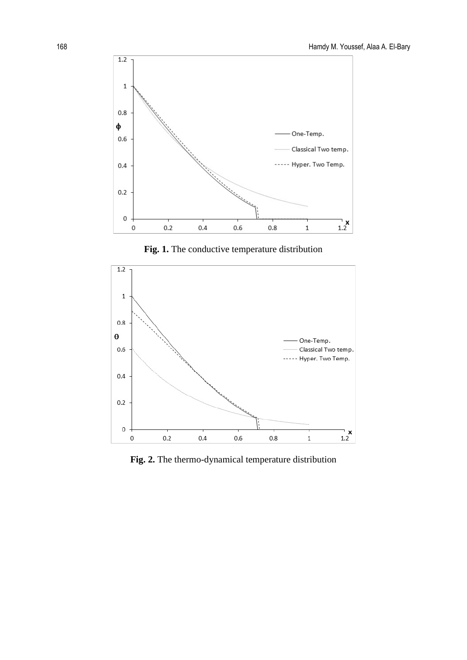

**Fig. 1.** The conductive temperature distribution



**Fig. 2.** The thermo-dynamical temperature distribution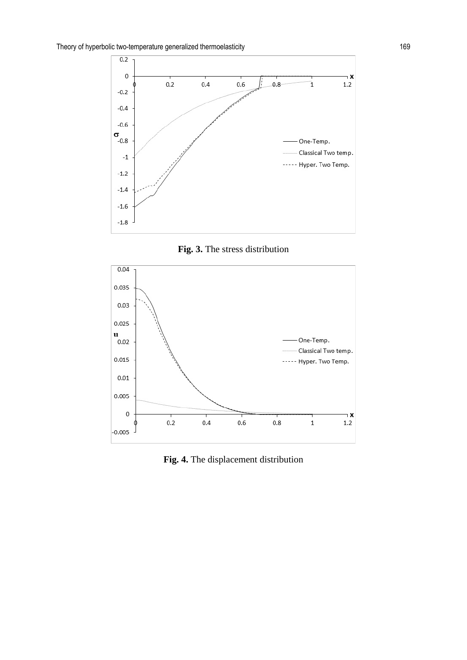





**Fig. 4.** The displacement distribution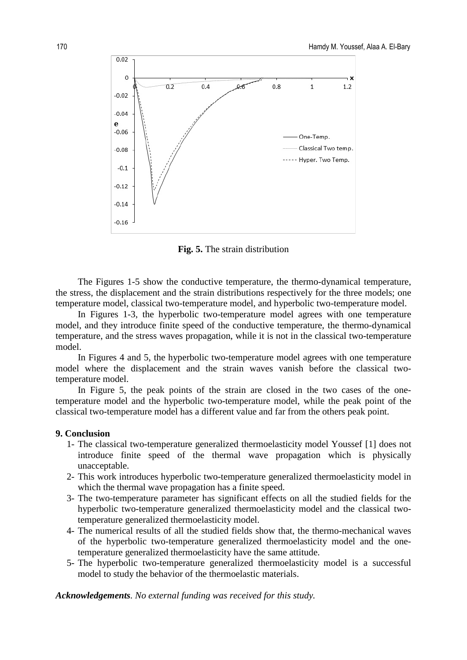

**Fig. 5.** The strain distribution

The Figures 1-5 show the conductive temperature, the thermo-dynamical temperature, the stress, the displacement and the strain distributions respectively for the three models; one temperature model, classical two-temperature model, and hyperbolic two-temperature model.

In Figures 1-3, the hyperbolic two-temperature model agrees with one temperature model, and they introduce finite speed of the conductive temperature, the thermo-dynamical temperature, and the stress waves propagation, while it is not in the classical two-temperature model.

In Figures 4 and 5, the hyperbolic two-temperature model agrees with one temperature model where the displacement and the strain waves vanish before the classical twotemperature model.

In Figure 5, the peak points of the strain are closed in the two cases of the onetemperature model and the hyperbolic two-temperature model, while the peak point of the classical two-temperature model has a different value and far from the others peak point.

#### **9. Conclusion**

- 1- The classical two-temperature generalized thermoelasticity model Youssef [1] does not introduce finite speed of the thermal wave propagation which is physically unacceptable.
- 2- This work introduces hyperbolic two-temperature generalized thermoelasticity model in which the thermal wave propagation has a finite speed.
- 3- The two-temperature parameter has significant effects on all the studied fields for the hyperbolic two-temperature generalized thermoelasticity model and the classical twotemperature generalized thermoelasticity model.
- 4- The numerical results of all the studied fields show that, the thermo-mechanical waves of the hyperbolic two-temperature generalized thermoelasticity model and the onetemperature generalized thermoelasticity have the same attitude.
- 5- The hyperbolic two-temperature generalized thermoelasticity model is a successful model to study the behavior of the thermoelastic materials.

*Acknowledgements. No external funding was received for this study.*